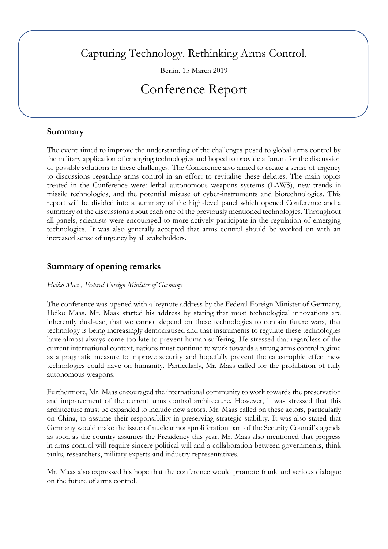Capturing Technology. Rethinking Arms Control.

Berlin, 15 March 2019

# Conference Report

### **Summary**

The event aimed to improve the understanding of the challenges posed to global arms control by the military application of emerging technologies and hoped to provide a forum for the discussion of possible solutions to these challenges. The Conference also aimed to create a sense of urgency to discussions regarding arms control in an effort to revitalise these debates. The main topics treated in the Conference were: lethal autonomous weapons systems (LAWS), new trends in missile technologies, and the potential misuse of cyber-instruments and biotechnologies. This report will be divided into a summary of the high-level panel which opened Conference and a summary of the discussions about each one of the previously mentioned technologies. Throughout all panels, scientists were encouraged to more actively participate in the regulation of emerging technologies. It was also generally accepted that arms control should be worked on with an increased sense of urgency by all stakeholders.

## **Summary of opening remarks**

#### *Heiko Maas, Federal Foreign Minister of Germany*

The conference was opened with a keynote address by the Federal Foreign Minister of Germany, Heiko Maas. Mr. Maas started his address by stating that most technological innovations are inherently dual-use, that we cannot depend on these technologies to contain future wars, that technology is being increasingly democratised and that instruments to regulate these technologies have almost always come too late to prevent human suffering. He stressed that regardless of the current international context, nations must continue to work towards a strong arms control regime as a pragmatic measure to improve security and hopefully prevent the catastrophic effect new technologies could have on humanity. Particularly, Mr. Maas called for the prohibition of fully autonomous weapons.

Furthermore, Mr. Maas encouraged the international community to work towards the preservation and improvement of the current arms control architecture. However, it was stressed that this architecture must be expanded to include new actors. Mr. Maas called on these actors, particularly on China, to assume their responsibility in preserving strategic stability. It was also stated that Germany would make the issue of nuclear non‑proliferation part of the Security Council's agenda as soon as the country assumes the Presidency this year. Mr. Maas also mentioned that progress in arms control will require sincere political will and a collaboration between governments, think tanks, researchers, military experts and industry representatives.

Mr. Maas also expressed his hope that the conference would promote frank and serious dialogue on the future of arms control.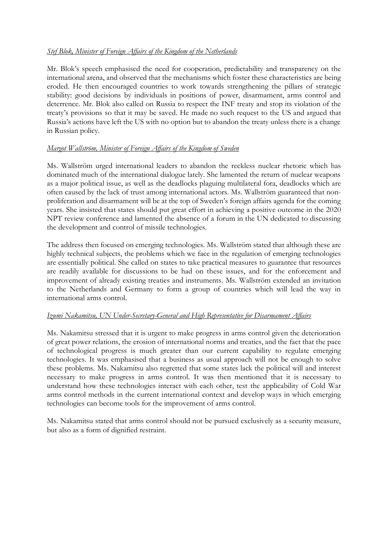#### *Stef Blok, Minister of Foreign Affairs of the Kingdom of the Netherlands*

Mr. Blok's speech emphasised the need for cooperation, predictability and transparency on the international arena, and observed that the mechanisms which foster these characteristics are being eroded. He then encouraged countries to work towards strengthening the pillars of strategic stability: good decisions by individuals in positions of power, disarmament, arms control and deterrence. Mr. Blok also called on Russia to respect the INF treaty and stop its violation of the treaty's provisions so that it may be saved. He made no such request to the US and argued that Russia's actions have left the US with no option but to abandon the treaty unless there is a change in Russian policy.

#### *Margot Wallström, Minister of Foreign Affairs of the Kingdom of Sweden*

Ms. Wallström urged international leaders to abandon the reckless nuclear rhetoric which has dominated much of the international dialogue lately. She lamented the return of nuclear weapons as a major political issue, as well as the deadlocks plaguing multilateral fora, deadlocks which are often caused by the lack of trust among international actors. Ms. Wallström guaranteed that nonproliferation and disarmament will be at the top of Sweden's foreign affairs agenda for the coming years. She insisted that states should put great effort in achieving a positive outcome in the 2020 NPT review conference and lamented the absence of a forum in the UN dedicated to discussing the development and control of missile technologies.

The address then focused on emerging technologies. Ms. Wallström stated that although these are highly technical subjects, the problems which we face in the regulation of emerging technologies are essentially political. She called on states to take practical measures to guarantee that resources are readily available for discussions to be had on these issues, and for the enforcement and improvement of already existing treaties and instruments. Ms. Wallström extended an invitation to the Netherlands and Germany to form a group of countries which will lead the way in international arms control.

#### *Izumi Nakamitsu, UN Under-Secretary-General and High Representative for Disarmament Affairs*

Ms. Nakamitsu stressed that it is urgent to make progress in arms control given the deterioration of great power relations, the erosion of international norms and treaties, and the fact that the pace of technological progress is much greater than our current capability to regulate emerging technologies. It was emphasised that a business as usual approach will not be enough to solve these problems. Ms. Nakamitsu also regretted that some states lack the political will and interest necessary to make progress in arms control. It was then mentioned that it is necessary to understand how these technologies interact with each other, test the applicability of Cold War arms control methods in the current international context and develop ways in which emerging technologies can become tools for the improvement of arms control.

Ms. Nakamitsu stated that arms control should not be pursued exclusively as a security measure, but also as a form of dignified restraint.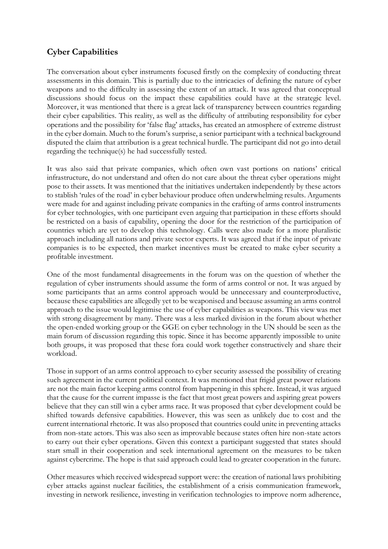## **Cyber Capabilities**

The conversation about cyber instruments focused firstly on the complexity of conducting threat assessments in this domain. This is partially due to the intricacies of defining the nature of cyber weapons and to the difficulty in assessing the extent of an attack. It was agreed that conceptual discussions should focus on the impact these capabilities could have at the strategic level. Moreover, it was mentioned that there is a great lack of transparency between countries regarding their cyber capabilities. This reality, as well as the difficulty of attributing responsibility for cyber operations and the possibility for 'false flag' attacks, has created an atmosphere of extreme distrust in the cyber domain. Much to the forum's surprise, a senior participant with a technical background disputed the claim that attribution is a great technical hurdle. The participant did not go into detail regarding the technique(s) he had successfully tested.

It was also said that private companies, which often own vast portions on nations' critical infrastructure, do not understand and often do not care about the threat cyber operations might pose to their assets. It was mentioned that the initiatives undertaken independently by these actors to stablish 'rules of the road' in cyber behaviour produce often underwhelming results. Arguments were made for and against including private companies in the crafting of arms control instruments for cyber technologies, with one participant even arguing that participation in these efforts should be restricted on a basis of capability, opening the door for the restriction of the participation of countries which are yet to develop this technology. Calls were also made for a more pluralistic approach including all nations and private sector experts. It was agreed that if the input of private companies is to be expected, then market incentives must be created to make cyber security a profitable investment.

One of the most fundamental disagreements in the forum was on the question of whether the regulation of cyber instruments should assume the form of arms control or not. It was argued by some participants that an arms control approach would be unnecessary and counterproductive, because these capabilities are allegedly yet to be weaponised and because assuming an arms control approach to the issue would legitimise the use of cyber capabilities as weapons. This view was met with strong disagreement by many. There was a less marked division in the forum about whether the open-ended working group or the GGE on cyber technology in the UN should be seen as the main forum of discussion regarding this topic. Since it has become apparently impossible to unite both groups, it was proposed that these fora could work together constructively and share their workload.

Those in support of an arms control approach to cyber security assessed the possibility of creating such agreement in the current political context. It was mentioned that frigid great power relations are not the main factor keeping arms control from happening in this sphere. Instead, it was argued that the cause for the current impasse is the fact that most great powers and aspiring great powers believe that they can still win a cyber arms race. It was proposed that cyber development could be shifted towards defensive capabilities. However, this was seen as unlikely due to cost and the current international rhetoric. It was also proposed that countries could unite in preventing attacks from non-state actors. This was also seen as improvable because states often hire non-state actors to carry out their cyber operations. Given this context a participant suggested that states should start small in their cooperation and seek international agreement on the measures to be taken against cybercrime. The hope is that said approach could lead to greater cooperation in the future.

Other measures which received widespread support were: the creation of national laws prohibiting cyber attacks against nuclear facilities, the establishment of a crisis communication framework, investing in network resilience, investing in verification technologies to improve norm adherence,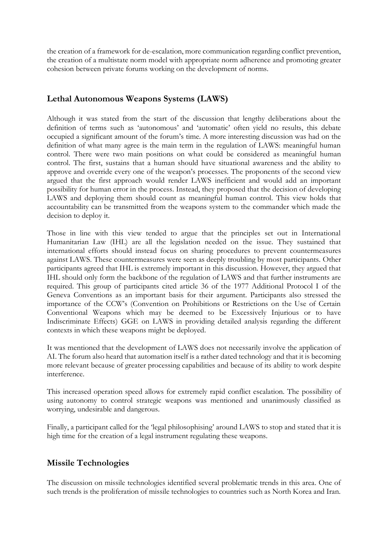the creation of a framework for de-escalation, more communication regarding conflict prevention, the creation of a multistate norm model with appropriate norm adherence and promoting greater cohesion between private forums working on the development of norms.

# **Lethal Autonomous Weapons Systems (LAWS)**

Although it was stated from the start of the discussion that lengthy deliberations about the definition of terms such as 'autonomous' and 'automatic' often yield no results, this debate occupied a significant amount of the forum's time. A more interesting discussion was had on the definition of what many agree is the main term in the regulation of LAWS: meaningful human control. There were two main positions on what could be considered as meaningful human control. The first, sustains that a human should have situational awareness and the ability to approve and override every one of the weapon's processes. The proponents of the second view argued that the first approach would render LAWS inefficient and would add an important possibility for human error in the process. Instead, they proposed that the decision of developing LAWS and deploying them should count as meaningful human control. This view holds that accountability can be transmitted from the weapons system to the commander which made the decision to deploy it.

Those in line with this view tended to argue that the principles set out in International Humanitarian Law (IHL) are all the legislation needed on the issue. They sustained that international efforts should instead focus on sharing procedures to prevent countermeasures against LAWS. These countermeasures were seen as deeply troubling by most participants. Other participants agreed that IHL is extremely important in this discussion. However, they argued that IHL should only form the backbone of the regulation of LAWS and that further instruments are required. This group of participants cited article 36 of the 1977 Additional Protocol I of the Geneva Conventions as an important basis for their argument. Participants also stressed the importance of the CCW's (Convention on Prohibitions or Restrictions on the Use of Certain Conventional Weapons which may be deemed to be Excessively Injurious or to have Indiscriminate Effects) GGE on LAWS in providing detailed analysis regarding the different contexts in which these weapons might be deployed.

It was mentioned that the development of LAWS does not necessarily involve the application of AI. The forum also heard that automation itself is a rather dated technology and that it is becoming more relevant because of greater processing capabilities and because of its ability to work despite interference.

This increased operation speed allows for extremely rapid conflict escalation. The possibility of using autonomy to control strategic weapons was mentioned and unanimously classified as worrying, undesirable and dangerous.

Finally, a participant called for the 'legal philosophising' around LAWS to stop and stated that it is high time for the creation of a legal instrument regulating these weapons.

## **Missile Technologies**

The discussion on missile technologies identified several problematic trends in this area. One of such trends is the proliferation of missile technologies to countries such as North Korea and Iran.